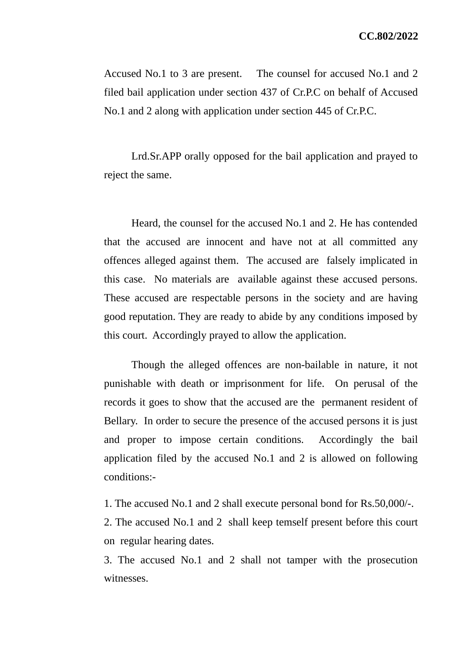Accused No.1 to 3 are present. The counsel for accused No.1 and 2 filed bail application under section 437 of Cr.P.C on behalf of Accused No.1 and 2 along with application under section 445 of Cr.P.C.

Lrd.Sr.APP orally opposed for the bail application and prayed to reject the same.

Heard, the counsel for the accused No.1 and 2. He has contended that the accused are innocent and have not at all committed any offences alleged against them. The accused are falsely implicated in this case. No materials are available against these accused persons. These accused are respectable persons in the society and are having good reputation. They are ready to abide by any conditions imposed by this court. Accordingly prayed to allow the application.

Though the alleged offences are non-bailable in nature, it not punishable with death or imprisonment for life. On perusal of the records it goes to show that the accused are the permanent resident of Bellary. In order to secure the presence of the accused persons it is just and proper to impose certain conditions. Accordingly the bail application filed by the accused No.1 and 2 is allowed on following conditions:-

1. The accused No.1 and 2 shall execute personal bond for Rs.50,000/-.

2. The accused No.1 and 2 shall keep temself present before this court on regular hearing dates.

3. The accused No.1 and 2 shall not tamper with the prosecution witnesses.